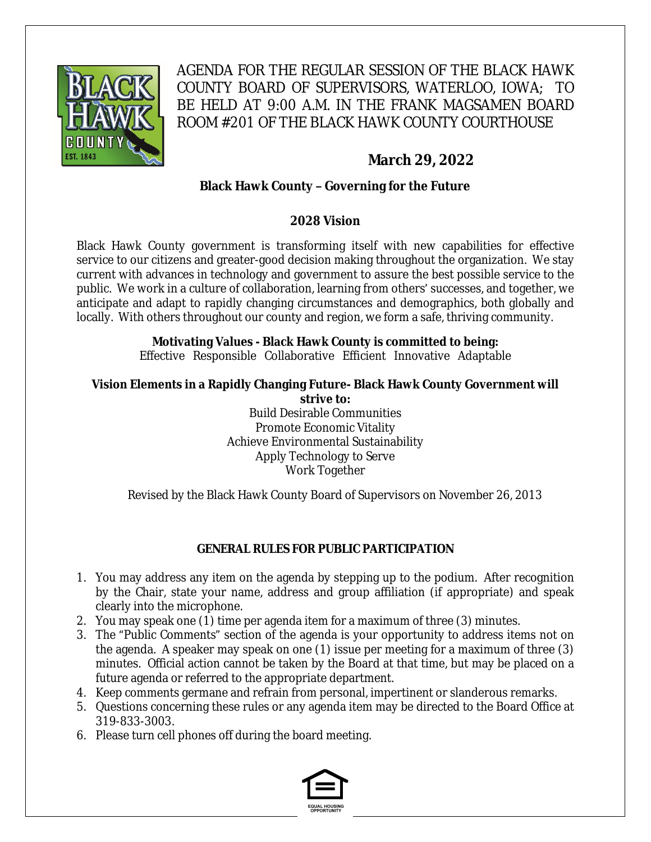

AGENDA FOR THE REGULAR SESSION OF THE BLACK HAWK COUNTY BOARD OF SUPERVISORS, WATERLOO, IOWA; TO BE HELD AT 9:00 A.M. IN THE FRANK MAGSAMEN BOARD ROOM #201 OF THE BLACK HAWK COUNTY COURTHOUSE

# **March 29, 2022**

# **Black Hawk County – Governing for the Future**

#### **2028 Vision**

Black Hawk County government is transforming itself with new capabilities for effective service to our citizens and greater-good decision making throughout the organization. We stay current with advances in technology and government to assure the best possible service to the public. We work in a culture of collaboration, learning from others' successes, and together, we anticipate and adapt to rapidly changing circumstances and demographics, both globally and locally. With others throughout our county and region, we form a safe, thriving community.

# **Motivating Values - Black Hawk County is committed to being:**

Effective Responsible Collaborative Efficient Innovative Adaptable

#### **Vision Elements in a Rapidly Changing Future- Black Hawk County Government will strive to:**

Build Desirable Communities Promote Economic Vitality Achieve Environmental Sustainability Apply Technology to Serve Work Together

Revised by the Black Hawk County Board of Supervisors on November 26, 2013

# **GENERAL RULES FOR PUBLIC PARTICIPATION**

- 1. You may address any item on the agenda by stepping up to the podium. After recognition by the Chair, state your name, address and group affiliation (if appropriate) and speak clearly into the microphone.
- 2. You may speak one (1) time per agenda item for a maximum of three (3) minutes.
- 3. The "Public Comments" section of the agenda is your opportunity to address items not on the agenda. A speaker may speak on one (1) issue per meeting for a maximum of three (3) minutes. Official action cannot be taken by the Board at that time, but may be placed on a future agenda or referred to the appropriate department.
- 4. Keep comments germane and refrain from personal, impertinent or slanderous remarks.
- 5. Questions concerning these rules or any agenda item may be directed to the Board Office at 319-833-3003.
- 6. Please turn cell phones off during the board meeting.

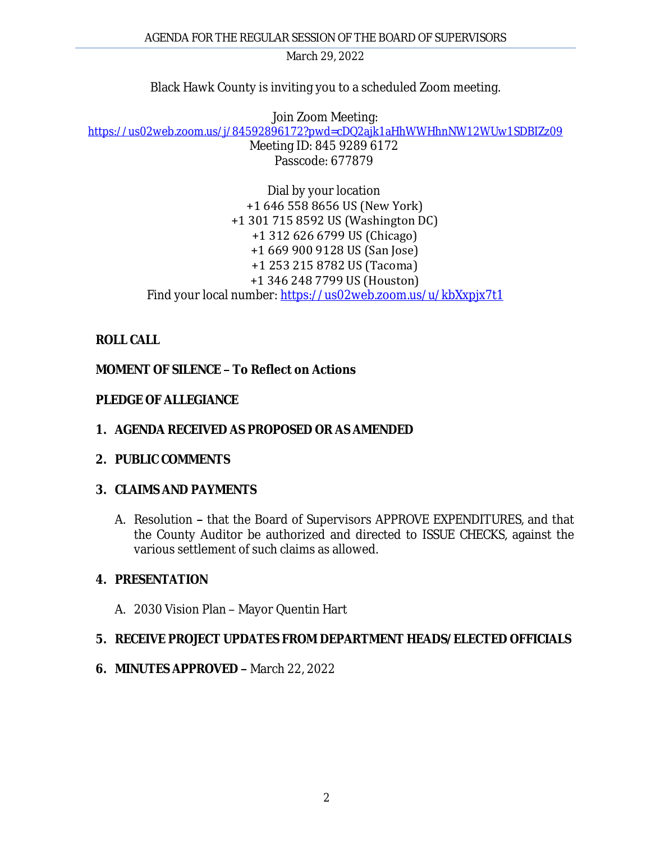Black Hawk County is inviting you to a scheduled Zoom meeting.

Join Zoom Meeting: [https://us02web.zoom.us/j/84592896172?pwd=cDQ2ajk1aHhWWHhnNW12WUw1SDBIZz09](https://gcc02.safelinks.protection.outlook.com/?url=https%3A%2F%2Fus02web.zoom.us%2Fj%2F84592896172%3Fpwd%3DcDQ2ajk1aHhWWHhnNW12WUw1SDBIZz09&data=04%7C01%7Ckzwanziger%40blackhawkcounty.iowa.gov%7C8e52c16a4d714069829a08da0cc9c292%7C9960f5b6faae4bb3a122c43aceeaa06d%7C0%7C0%7C637836357962590621%7CUnknown%7CTWFpbGZsb3d8eyJWIjoiMC4wLjAwMDAiLCJQIjoiV2luMzIiLCJBTiI6Ik1haWwiLCJXVCI6Mn0%3D%7C3000&sdata=mzWtQ1wbq1rkD0RsbirO%2BFXt8hOSDeLnvehgq9MWVDo%3D&reserved=0) Meeting ID: 845 9289 6172 Passcode: 677879

> Dial by your location +1 646 558 8656 US (New York) +1 301 715 8592 US (Washington DC) +1 312 626 6799 US (Chicago) +1 669 900 9128 US (San Jose) +1 253 215 8782 US (Tacoma) +1 346 248 7799 US (Houston) Find your local number: [https://us02web.zoom.us/u/kbXxpjx7t1](https://gcc02.safelinks.protection.outlook.com/?url=https%3A%2F%2Fus02web.zoom.us%2Fu%2FkbXxpjx7t1&data=04%7C01%7Ckzwanziger%40blackhawkcounty.iowa.gov%7C8e52c16a4d714069829a08da0cc9c292%7C9960f5b6faae4bb3a122c43aceeaa06d%7C0%7C0%7C637836357962590621%7CUnknown%7CTWFpbGZsb3d8eyJWIjoiMC4wLjAwMDAiLCJQIjoiV2luMzIiLCJBTiI6Ik1haWwiLCJXVCI6Mn0%3D%7C3000&sdata=n73BLqBQpJRLg5CXqBCr7jftaGXrh%2BWFwpgW9WcQy2g%3D&reserved=0)

# **ROLL CALL**

# **MOMENT OF SILENCE – To Reflect on Actions**

#### **PLEDGE OF ALLEGIANCE**

**1. AGENDA RECEIVED AS PROPOSED OR AS AMENDED**

#### **2. PUBLIC COMMENTS**

#### **3. CLAIMS AND PAYMENTS**

A. Resolution **–** that the Board of Supervisors APPROVE EXPENDITURES, and that the County Auditor be authorized and directed to ISSUE CHECKS, against the various settlement of such claims as allowed.

#### **4. PRESENTATION**

A. 2030 Vision Plan – Mayor Quentin Hart

# **5. RECEIVE PROJECT UPDATES FROM DEPARTMENT HEADS/ELECTED OFFICIALS**

**6. MINUTES APPROVED –** March 22, 2022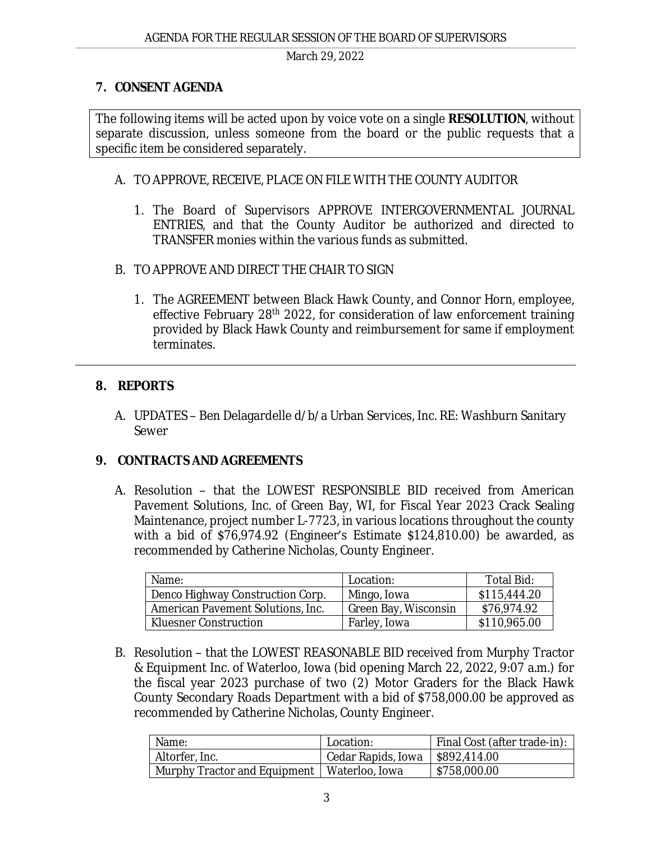#### **7. CONSENT AGENDA**

The following items will be acted upon by voice vote on a single **RESOLUTION**, without separate discussion, unless someone from the board or the public requests that a specific item be considered separately.

#### A. TO APPROVE, RECEIVE, PLACE ON FILE WITH THE COUNTY AUDITOR

- 1. The Board of Supervisors APPROVE INTERGOVERNMENTAL JOURNAL ENTRIES, and that the County Auditor be authorized and directed to TRANSFER monies within the various funds as submitted.
- B. TO APPROVE AND DIRECT THE CHAIR TO SIGN
	- 1. The AGREEMENT between Black Hawk County, and Connor Horn, employee, effective February 28th 2022, for consideration of law enforcement training provided by Black Hawk County and reimbursement for same if employment terminates.

# **8. REPORTS**

A. UPDATES – Ben Delagardelle d/b/a Urban Services, Inc. RE: Washburn Sanitary Sewer

# **9. CONTRACTS AND AGREEMENTS**

A. Resolution – that the LOWEST RESPONSIBLE BID received from American Pavement Solutions, Inc. of Green Bay, WI, for Fiscal Year 2023 Crack Sealing Maintenance, project number L-7723, in various locations throughout the county with a bid of \$76,974.92 (Engineer's Estimate \$124,810.00) be awarded, as recommended by Catherine Nicholas, County Engineer.

| Name:                             | Location:            | Total Bid:   |
|-----------------------------------|----------------------|--------------|
| Denco Highway Construction Corp.  | Mingo, Iowa          | \$115,444.20 |
| American Pavement Solutions, Inc. | Green Bay, Wisconsin | \$76,974.92  |
| <b>Kluesner Construction</b>      | Farley, Iowa         | \$110,965.00 |

B. Resolution – that the LOWEST REASONABLE BID received from Murphy Tractor & Equipment Inc. of Waterloo, Iowa (bid opening March 22, 2022, 9:07 a.m.) for the fiscal year 2023 purchase of two (2) Motor Graders for the Black Hawk County Secondary Roads Department with a bid of \$758,000.00 be approved as recommended by Catherine Nicholas, County Engineer.

| Name:                                         | Location:                                       | Final Cost (after trade-in): |
|-----------------------------------------------|-------------------------------------------------|------------------------------|
| Altorfer, Inc.                                | $\vert$ Cedar Rapids, Iowa $\vert$ \$892,414.00 |                              |
| Murphy Tractor and Equipment   Waterloo, Iowa |                                                 | \$758,000.00                 |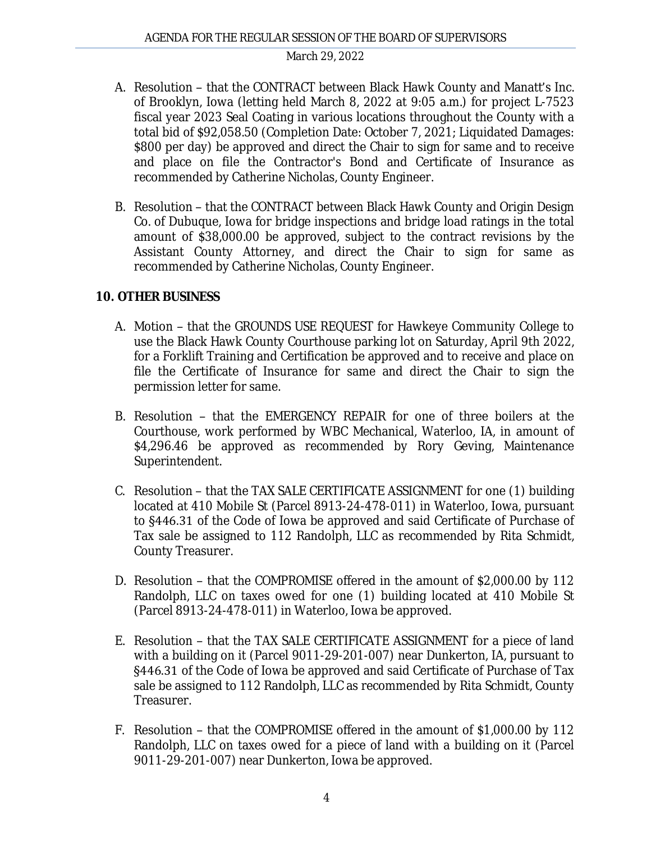- A. Resolution that the CONTRACT between Black Hawk County and Manatt's Inc. of Brooklyn, Iowa (letting held March 8, 2022 at 9:05 a.m.) for project L-7523 fiscal year 2023 Seal Coating in various locations throughout the County with a total bid of \$92,058.50 (Completion Date: October 7, 2021; Liquidated Damages: \$800 per day) be approved and direct the Chair to sign for same and to receive and place on file the Contractor's Bond and Certificate of Insurance as recommended by Catherine Nicholas, County Engineer.
- B. Resolution that the CONTRACT between Black Hawk County and Origin Design Co. of Dubuque, Iowa for bridge inspections and bridge load ratings in the total amount of \$38,000.00 be approved, subject to the contract revisions by the Assistant County Attorney, and direct the Chair to sign for same as recommended by Catherine Nicholas, County Engineer.

#### **10. OTHER BUSINESS**

- A. Motion that the GROUNDS USE REQUEST for Hawkeye Community College to use the Black Hawk County Courthouse parking lot on Saturday, April 9th 2022, for a Forklift Training and Certification be approved and to receive and place on file the Certificate of Insurance for same and direct the Chair to sign the permission letter for same.
- B. Resolution that the EMERGENCY REPAIR for one of three boilers at the Courthouse, work performed by WBC Mechanical, Waterloo, IA, in amount of \$4,296.46 be approved as recommended by Rory Geving, Maintenance Superintendent.
- C. Resolution that the TAX SALE CERTIFICATE ASSIGNMENT for one (1) building located at 410 Mobile St (Parcel 8913-24-478-011) in Waterloo, Iowa, pursuant to §446.31 of the Code of Iowa be approved and said Certificate of Purchase of Tax sale be assigned to 112 Randolph, LLC as recommended by Rita Schmidt, County Treasurer.
- D. Resolution that the COMPROMISE offered in the amount of \$2,000.00 by 112 Randolph, LLC on taxes owed for one (1) building located at 410 Mobile St (Parcel 8913-24-478-011) in Waterloo, Iowa be approved.
- E. Resolution that the TAX SALE CERTIFICATE ASSIGNMENT for a piece of land with a building on it (Parcel 9011-29-201-007) near Dunkerton, IA, pursuant to §446.31 of the Code of Iowa be approved and said Certificate of Purchase of Tax sale be assigned to 112 Randolph, LLC as recommended by Rita Schmidt, County Treasurer.
- F. Resolution that the COMPROMISE offered in the amount of \$1,000.00 by 112 Randolph, LLC on taxes owed for a piece of land with a building on it (Parcel 9011-29-201-007) near Dunkerton, Iowa be approved.